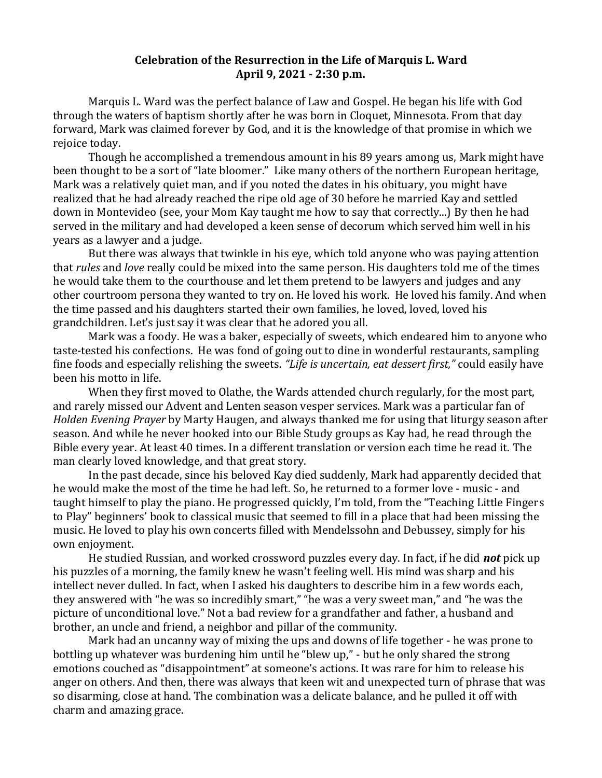## **Celebration of the Resurrection in the Life of Marquis L. Ward April 9, 2021 - 2:30 p.m.**

Marquis L. Ward was the perfect balance of Law and Gospel. He began his life with God through the waters of baptism shortly after he was born in Cloquet, Minnesota. From that day forward, Mark was claimed forever by God, and it is the knowledge of that promise in which we rejoice today.

Though he accomplished a tremendous amount in his 89 years among us, Mark might have been thought to be a sort of "late bloomer." Like many others of the northern European heritage, Mark was a relatively quiet man, and if you noted the dates in his obituary, you might have realized that he had already reached the ripe old age of 30 before he married Kay and settled down in Montevideo (see, your Mom Kay taught me how to say that correctly...) By then he had served in the military and had developed a keen sense of decorum which served him well in his years as a lawyer and a judge.

But there was always that twinkle in his eye, which told anyone who was paying attention that *rules* and *love* really could be mixed into the same person. His daughters told me of the times he would take them to the courthouse and let them pretend to be lawyers and judges and any other courtroom persona they wanted to try on. He loved his work. He loved his family. And when the time passed and his daughters started their own families, he loved, loved, loved his grandchildren. Let's just say it was clear that he adored you all.

Mark was a foody. He was a baker, especially of sweets, which endeared him to anyone who taste-tested his confections. He was fond of going out to dine in wonderful restaurants, sampling fine foods and especially relishing the sweets. *"Life is uncertain, eat dessert first,"* could easily have been his motto in life.

When they first moved to Olathe, the Wards attended church regularly, for the most part, and rarely missed our Advent and Lenten season vesper services. Mark was a particular fan of *Holden Evening Prayer* by Marty Haugen, and always thanked me for using that liturgy season after season. And while he never hooked into our Bible Study groups as Kay had, he read through the Bible every year. At least 40 times. In a different translation or version each time he read it. The man clearly loved knowledge, and that great story.

In the past decade, since his beloved Kay died suddenly, Mark had apparently decided that he would make the most of the time he had left. So, he returned to a former love - music - and taught himself to play the piano. He progressed quickly, I'm told, from the "Teaching Little Fingers to Play" beginners' book to classical music that seemed to fill in a place that had been missing the music. He loved to play his own concerts filled with Mendelssohn and Debussey, simply for his own enjoyment.

He studied Russian, and worked crossword puzzles every day. In fact, if he did *not* pick up his puzzles of a morning, the family knew he wasn't feeling well. His mind was sharp and his intellect never dulled. In fact, when I asked his daughters to describe him in a few words each, they answered with "he was so incredibly smart," "he was a very sweet man," and "he was the picture of unconditional love." Not a bad review for a grandfather and father, a husband and brother, an uncle and friend, a neighbor and pillar of the community.

Mark had an uncanny way of mixing the ups and downs of life together - he was prone to bottling up whatever was burdening him until he "blew up," - but he only shared the strong emotions couched as "disappointment" at someone's actions. It was rare for him to release his anger on others. And then, there was always that keen wit and unexpected turn of phrase that was so disarming, close at hand. The combination was a delicate balance, and he pulled it off with charm and amazing grace.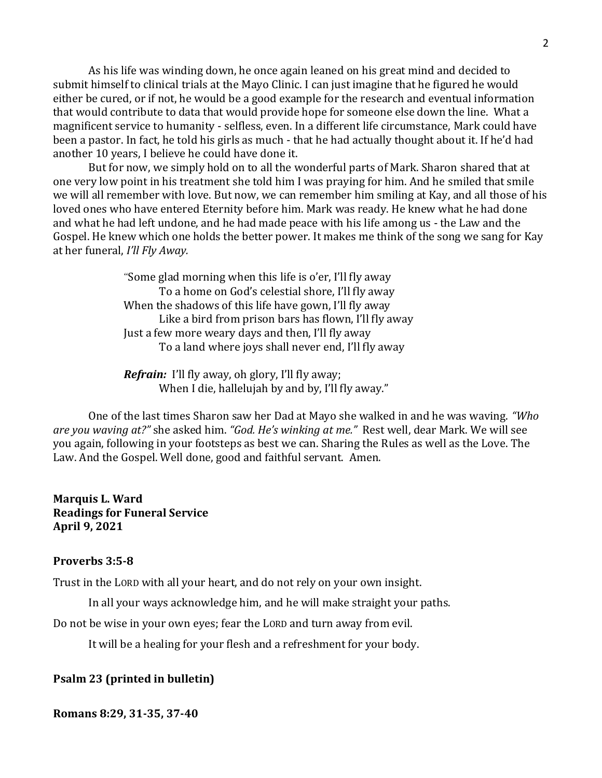As his life was winding down, he once again leaned on his great mind and decided to submit himself to clinical trials at the Mayo Clinic. I can just imagine that he figured he would either be cured, or if not, he would be a good example for the research and eventual information that would contribute to data that would provide hope for someone else down the line. What a magnificent service to humanity - selfless, even. In a different life circumstance, Mark could have been a pastor. In fact, he told his girls as much - that he had actually thought about it. If he'd had another 10 years, I believe he could have done it.

But for now, we simply hold on to all the wonderful parts of Mark. Sharon shared that at one very low point in his treatment she told him I was praying for him. And he smiled that smile we will all remember with love. But now, we can remember him smiling at Kay, and all those of his loved ones who have entered Eternity before him. Mark was ready. He knew what he had done and what he had left undone, and he had made peace with his life among us - the Law and the Gospel. He knew which one holds the better power. It makes me think of the song we sang for Kay at her funeral, *I'll Fly Away.*

> "Some glad morning when this life is o'er, I'll fly away To a home on God's celestial shore, I'll fly away When the shadows of this life have gown, I'll fly away Like a bird from prison bars has flown, I'll fly away Just a few more weary days and then, I'll fly away To a land where joys shall never end, I'll fly away

*Refrain:* I'll fly away, oh glory, I'll fly away; When I die, hallelujah by and by, I'll fly away."

One of the last times Sharon saw her Dad at Mayo she walked in and he was waving. *"Who are you waving at?"* she asked him. *"God. He's winking at me."* Rest well, dear Mark. We will see you again, following in your footsteps as best we can. Sharing the Rules as well as the Love. The Law. And the Gospel. Well done, good and faithful servant. Amen.

**Marquis L. Ward Readings for Funeral Service April 9, 2021**

## **Proverbs 3:5-8**

Trust in the LORD with all your heart, and do not rely on your own insight.

In all your ways acknowledge him, and he will make straight your paths.

Do not be wise in your own eyes; fear the LORD and turn away from evil.

It will be a healing for your flesh and a refreshment for your body.

## **Psalm 23 (printed in bulletin)**

**Romans 8:29, 31-35, 37-40**